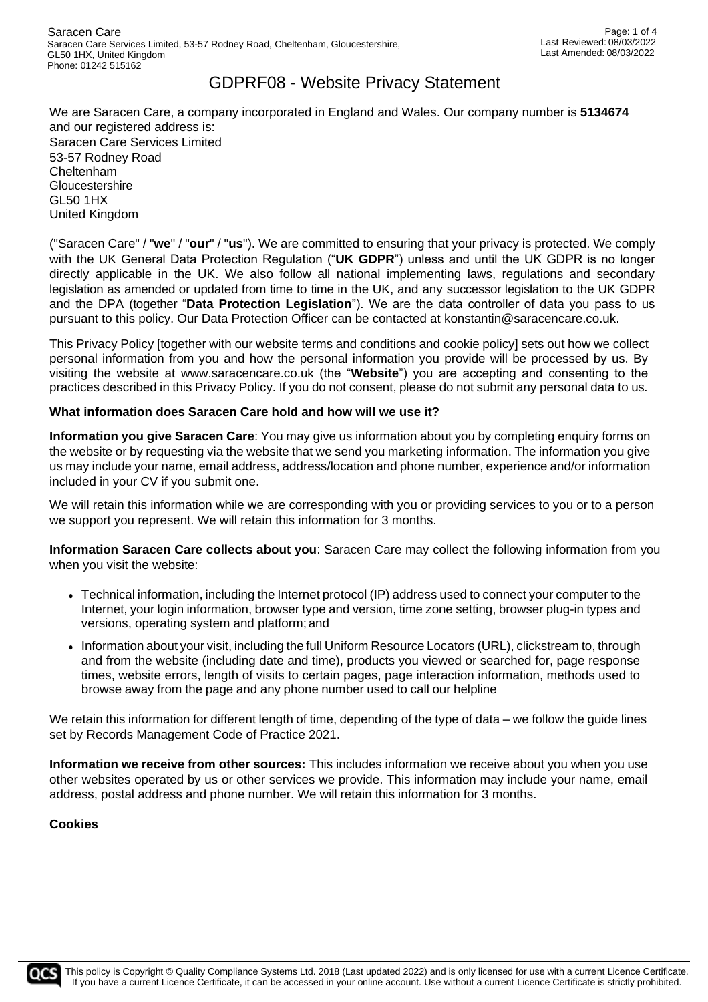We are Saracen Care, a company incorporated in England and Wales. Our company number is **5134674** and our registered address is: Saracen Care Services Limited 53-57 Rodney Road Cheltenham **Gloucestershire** GL50 1HX United Kingdom

("Saracen Care" / "**we**" / "**our**" / "**us**"). We are committed to ensuring that your privacy is protected. We comply with the UK General Data Protection Regulation ("**UK GDPR**") unless and until the UK GDPR is no longer directly applicable in the UK. We also follow all national implementing laws, regulations and secondary legislation as amended or updated from time to time in the UK, and any successor legislation to the UK GDPR and the DPA (together "**Data Protection Legislation**"). We are the data controller of data you pass to us pursuant to this policy. Our Data Protection Officer can be contacted at konstantin@saracencare.co.uk.

This Privacy Policy [together with our website terms and conditions and cookie policy] sets out how we collect personal information from you and how the personal information you provide will be processed by us. By visiting the website at [www.saracencare.co.uk \(](http://www.saracencare.co.uk/)the "**Website**") you are accepting and consenting to the practices described in this Privacy Policy. If you do not consent, please do not submit any personal data to us.

### **What information does Saracen Care hold and how will we use it?**

**Information you give Saracen Care**: You may give us information about you by completing enquiry forms on the website or by requesting via the website that we send you marketing information. The information you give us may include your name, email address, address/location and phone number, experience and/or information included in your CV if you submit one.

We will retain this information while we are corresponding with you or providing services to you or to a person we support you represent. We will retain this information for 3 months.

**Information Saracen Care collects about you**: Saracen Care may collect the following information from you when you visit the website:

- ⚫ Technical information, including the Internet protocol (IP) address used to connect your computer to the Internet, your login information, browser type and version, time zone setting, browser plug-in types and versions, operating system and platform; and
- ⚫ Information about your visit, including the full Uniform Resource Locators (URL), clickstream to, through and from the website (including date and time), products you viewed or searched for, page response times, website errors, length of visits to certain pages, page interaction information, methods used to browse away from the page and any phone number used to call our helpline

We retain this information for different length of time, depending of the type of data – we follow the guide lines set by Records Management Code of Practice 2021.

**Information we receive from other sources:** This includes information we receive about you when you use other websites operated by us or other services we provide. This information may include your name, email address, postal address and phone number. We will retain this information for 3 months.

### **Cookies**

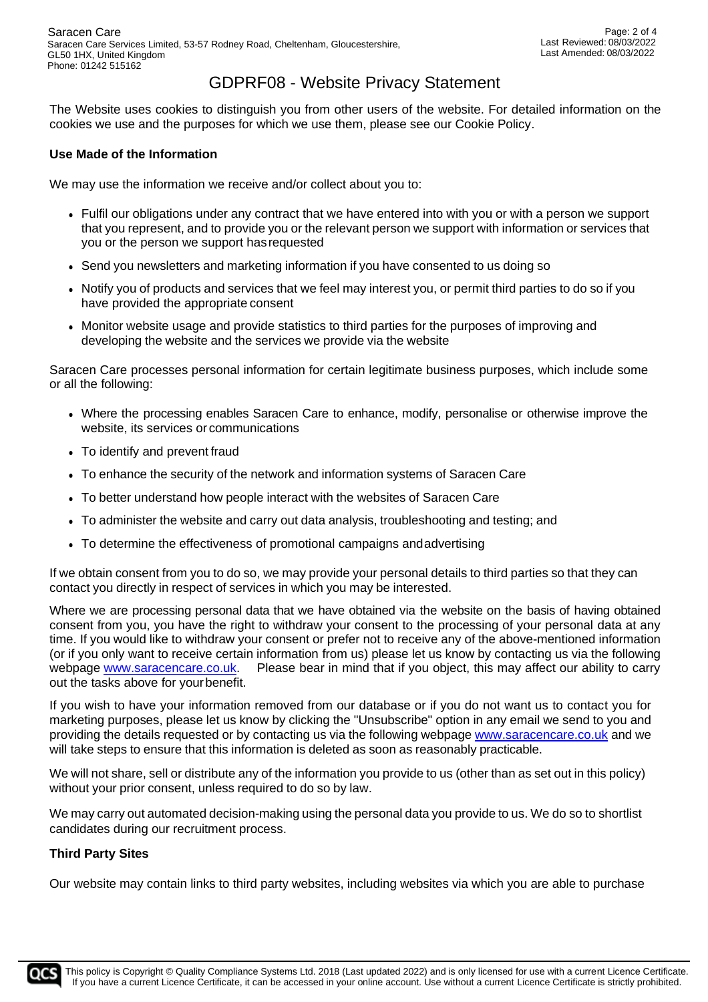The Website uses cookies to distinguish you from other users of the website. For detailed information on the cookies we use and the purposes for which we use them, please see our Cookie Policy.

### **Use Made of the Information**

We may use the information we receive and/or collect about you to:

- ⚫ Fulfil our obligations under any contract that we have entered into with you or with a person we support that you represent, and to provide you or the relevant person we support with information or services that you or the person we support hasrequested
- ⚫ Send you newsletters and marketing information if you have consented to us doing so
- ⚫ Notify you of products and services that we feel may interest you, or permit third parties to do so if you have provided the appropriate consent
- ⚫ Monitor website usage and provide statistics to third parties for the purposes of improving and developing the website and the services we provide via the website

Saracen Care processes personal information for certain legitimate business purposes, which include some or all the following:

- ⚫ Where the processing enables Saracen Care to enhance, modify, personalise or otherwise improve the website, its services or communications
- ⚫ To identify and prevent fraud
- ⚫ To enhance the security of the network and information systems of Saracen Care
- ⚫ To better understand how people interact with the websites of Saracen Care
- ⚫ To administer the website and carry out data analysis, troubleshooting and testing; and
- ⚫ To determine the effectiveness of promotional campaigns andadvertising

If we obtain consent from you to do so, we may provide your personal details to third parties so that they can contact you directly in respect of services in which you may be interested.

Where we are processing personal data that we have obtained via the website on the basis of having obtained consent from you, you have the right to withdraw your consent to the processing of your personal data at any time. If you would like to withdraw your consent or prefer not to receive any of the above-mentioned information (or if you only want to receive certain information from us) please let us know by contacting us via the following webpage [www.saracencare.co.uk.](http://www.saracencare.co.uk/) Please bear in mind that if you object, this may affect our ability to carry out the tasks above for your benefit.

If you wish to have your information removed from our database or if you do not want us to contact you for marketing purposes, please let us know by clicking the "Unsubscribe" option in any email we send to you and providing the details requested or by contacting us via the following webpage [www.saracencare.co.uk](http://www.saracencare.co.uk/) and we will take steps to ensure that this information is deleted as soon as reasonably practicable.

We will not share, sell or distribute any of the information you provide to us (other than as set out in this policy) without your prior consent, unless required to do so by law.

We may carry out automated decision-making using the personal data you provide to us. We do so to shortlist candidates during our recruitment process.

### **Third Party Sites**

Our website may contain links to third party websites, including websites via which you are able to purchase

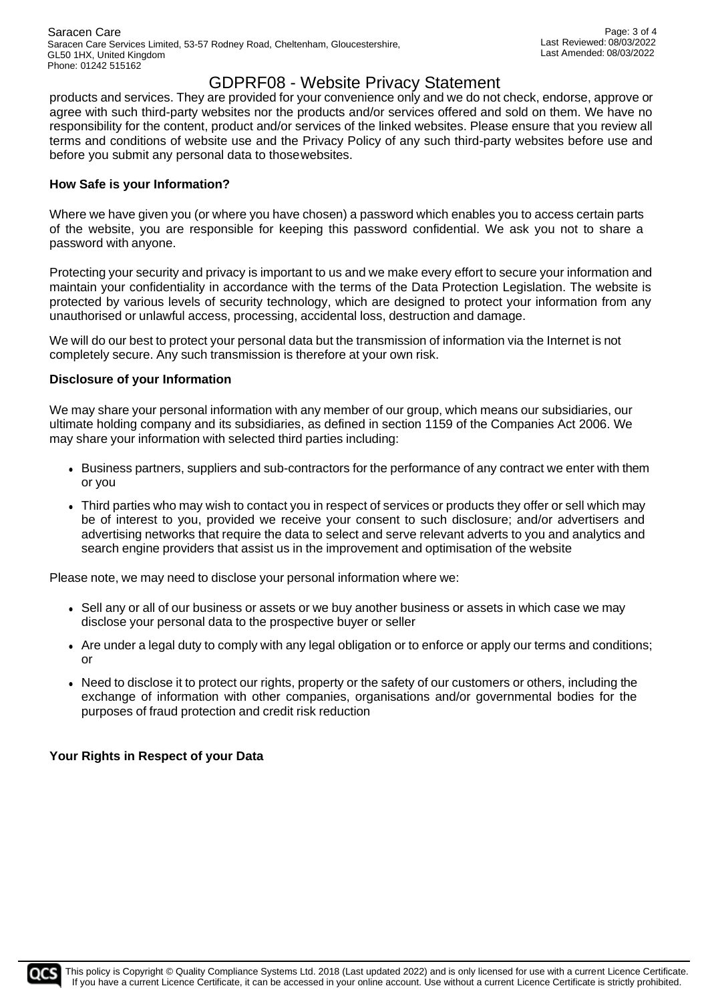products and services. They are provided for your convenience only and we do not check, endorse, approve or agree with such third-party websites nor the products and/or services offered and sold on them. We have no responsibility for the content, product and/or services of the linked websites. Please ensure that you review all terms and conditions of website use and the Privacy Policy of any such third-party websites before use and before you submit any personal data to thosewebsites.

### **How Safe is your Information?**

Where we have given you (or where you have chosen) a password which enables you to access certain parts of the website, you are responsible for keeping this password confidential. We ask you not to share a password with anyone.

Protecting your security and privacy is important to us and we make every effort to secure your information and maintain your confidentiality in accordance with the terms of the Data Protection Legislation. The website is protected by various levels of security technology, which are designed to protect your information from any unauthorised or unlawful access, processing, accidental loss, destruction and damage.

We will do our best to protect your personal data but the transmission of information via the Internet is not completely secure. Any such transmission is therefore at your own risk.

#### **Disclosure of your Information**

We may share your personal information with any member of our group, which means our subsidiaries, our ultimate holding company and its subsidiaries, as defined in section 1159 of the Companies Act 2006. We may share your information with selected third parties including:

- ⚫ Business partners, suppliers and sub-contractors for the performance of any contract we enter with them or you
- ⚫ Third parties who may wish to contact you in respect of services or products they offer or sell which may be of interest to you, provided we receive your consent to such disclosure; and/or advertisers and advertising networks that require the data to select and serve relevant adverts to you and analytics and search engine providers that assist us in the improvement and optimisation of the website

Please note, we may need to disclose your personal information where we:

- ⚫ Sell any or all of our business or assets or we buy another business or assets in which case we may disclose your personal data to the prospective buyer or seller
- ⚫ Are under a legal duty to comply with any legal obligation or to enforce or apply our terms and conditions; or
- ⚫ Need to disclose it to protect our rights, property or the safety of our customers or others, including the exchange of information with other companies, organisations and/or governmental bodies for the purposes of fraud protection and credit risk reduction

### **Your Rights in Respect of your Data**